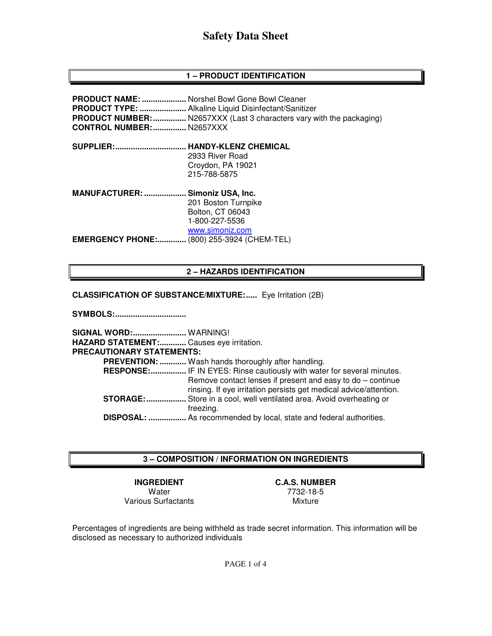# **1 – PRODUCT IDENTIFICATION**

| <b>CONTROL NUMBER:</b> N2657XXX | <b>PRODUCT NAME: </b> Norshel Bowl Gone Bowl Cleaner<br><b>PRODUCT NUMBER:  N2657XXX (Last 3 characters vary with the packaging)</b> |
|---------------------------------|--------------------------------------------------------------------------------------------------------------------------------------|
| <b>SUPPLIER:</b>                | <b>HANDY-KLENZ CHEMICAL</b>                                                                                                          |
|                                 | 2933 River Road                                                                                                                      |
|                                 | Croydon, PA 19021                                                                                                                    |
|                                 | 215-788-5875                                                                                                                         |
| <b>MANUFACTURER: </b>           | Simoniz USA, Inc.                                                                                                                    |
|                                 | 201 Boston Turnpike                                                                                                                  |
|                                 | <b>Bolton, CT 06043</b>                                                                                                              |
|                                 | 1-800-227-5536                                                                                                                       |
|                                 | www.simoniz.com                                                                                                                      |
| <b>EMERGENCY PHONE:</b>         | . (800) 255-3924 (CHEM-TEL)                                                                                                          |

# **2 – HAZARDS IDENTIFICATION**

**CLASSIFICATION OF SUBSTANCE/MIXTURE:.....** Eye Irritation (2B)

**SYMBOLS: ................................** 

**SIGNAL WORD: ........................** WARNING! **HAZARD STATEMENT: ............** Causes eye irritation. **PRECAUTIONARY STATEMENTS: PREVENTION: ............** Wash hands thoroughly after handling.  **RESPONSE: ................** IF IN EYES: Rinse cautiously with water for several minutes. Remove contact lenses if present and easy to do – continue rinsing. If eye irritation persists get medical advice/attention. **STORAGE: ..................** Store in a cool, well ventilated area. Avoid overheating or freezing.  **DISPOSAL: .................** As recommended by local, state and federal authorities.

# **3 – COMPOSITION / INFORMATION ON INGREDIENTS**

**INGREDIENT C.A.S. NUMBER**  Water 7732-18-5<br>Surfactants Mixture Various Surfactants

Percentages of ingredients are being withheld as trade secret information. This information will be disclosed as necessary to authorized individuals

PAGE 1 of 4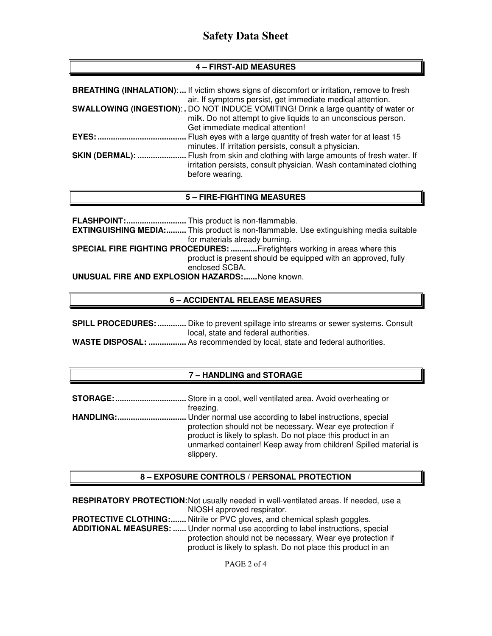# **4 – FIRST-AID MEASURES**

|                        | <b>BREATHING (INHALATION):</b> If victim shows signs of discomfort or irritation, remove to fresh<br>air. If symptoms persist, get immediate medical attention.                                  |
|------------------------|--------------------------------------------------------------------------------------------------------------------------------------------------------------------------------------------------|
|                        | <b>SWALLOWING (INGESTION):.</b> DO NOT INDUCE VOMITING! Drink a large quantity of water or<br>milk. Do not attempt to give liquids to an unconscious person.<br>Get immediate medical attention! |
| <b>EYES:</b>           | Flush eyes with a large quantity of fresh water for at least 15<br>minutes. If irritation persists, consult a physician.                                                                         |
| <b>SKIN (DERMAL): </b> | Flush from skin and clothing with large amounts of fresh water. If<br>irritation persists, consult physician. Wash contaminated clothing<br>before wearing.                                      |

# **5 – FIRE-FIGHTING MEASURES**

**FLASHPOINT: ...........................** This product is non-flammable. **EXTINGUISHING MEDIA: .........** This product is non-flammable. Use extinguishing media suitable for materials already burning. **SPECIAL FIRE FIGHTING PROCEDURES: ............** Firefighters working in areas where this product is present should be equipped with an approved, fully enclosed SCBA. **UNUSUAL FIRE AND EXPLOSION HAZARDS: ......** None known.

# **6 – ACCIDENTAL RELEASE MEASURES**

| <b>SPILL PROCEDURES: </b> Dike to prevent spillage into streams or sewer systems. Consult |  |
|-------------------------------------------------------------------------------------------|--|
| local, state and federal authorities.                                                     |  |
| <b>WASTE DISPOSAL</b> · As recommended by local state and federal authorities             |  |

# **WASTE DISPOSAL: .................** As recommended by local, state and federal authorities.

# **7 – HANDLING and STORAGE**

| freezing.                                                        |
|------------------------------------------------------------------|
|                                                                  |
| protection should not be necessary. Wear eye protection if       |
| product is likely to splash. Do not place this product in an     |
| unmarked container! Keep away from children! Spilled material is |
| slippery.                                                        |

# **8 – EXPOSURE CONTROLS / PERSONAL PROTECTION**

| <b>RESPIRATORY PROTECTION:</b> Not usually needed in well-ventilated areas. If needed, use a |                                                                                                                            |  |
|----------------------------------------------------------------------------------------------|----------------------------------------------------------------------------------------------------------------------------|--|
|                                                                                              | NIOSH approved respirator.                                                                                                 |  |
|                                                                                              | <b>PROTECTIVE CLOTHING:</b> Nitrile or PVC gloves, and chemical splash goggles.                                            |  |
| ADDITIONAL MEASURES:  Under normal use according to label instructions, special              |                                                                                                                            |  |
|                                                                                              | protection should not be necessary. Wear eye protection if<br>product is likely to splash. Do not place this product in an |  |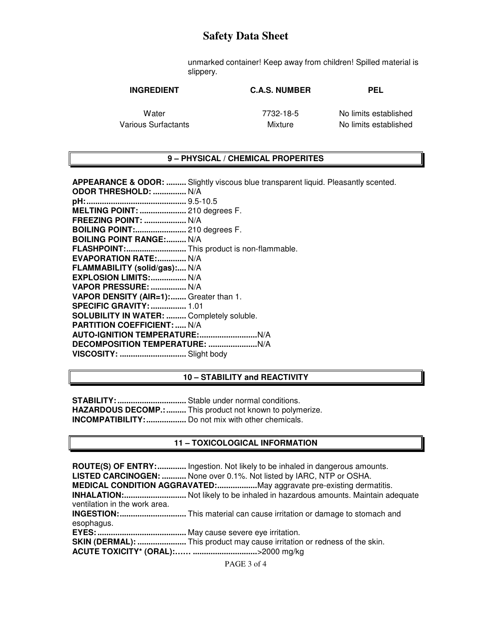unmarked container! Keep away from children! Spilled material is slippery.

| <b>INGREDIENT</b>   | <b>C.A.S. NUMBER</b> | <b>PEL</b>            |
|---------------------|----------------------|-----------------------|
| Water               | 7732-18-5            | No limits established |
| Various Surfactants | Mixture              | No limits established |

#### **9 – PHYSICAL / CHEMICAL PROPERITES**

**APPEARANCE & ODOR: .........** Slightly viscous blue transparent liquid. Pleasantly scented. **ODOR THRESHOLD: ...............** N/A **pH: .............................................** 9.5-10.5 **MELTING POINT: .....................** 210 degrees F. **FREEZING POINT: ...................** N/A **BOILING POINT:.......................** 210 degrees F. **BOILING POINT RANGE:......... N/A FLASHPOINT: ...........................** This product is non-flammable. **EVAPORATION RATE: .............. N/A FLAMMABILITY (solid/gas):....** N/A **EXPLOSION LIMITS: ................** N/A **VAPOR PRESSURE: ................** N/A **VAPOR DENSITY (AIR=1): .......** Greater than 1. **SPECIFIC GRAVITY: ................** 1.01 **SOLUBILITY IN WATER: .........** Completely soluble. **PARTITION COEFFICIENT: .....** N/A **AUTO-IGNITION TEMPERATURE: ..........................** N/A **DECOMPOSITION TEMPERATURE: ......................** N/A **VISCOSITY: ..............................** Slight body

#### **10 – STABILITY and REACTIVITY**

**STABILITY: ...............................** Stable under normal conditions. **HAZARDOUS DECOMP.: .........** This product not known to polymerize. **INCOMPATIBILITY: ..................** Do not mix with other chemicals.

#### **11 – TOXICOLOGICAL INFORMATION**

**ROUTE(S) OF ENTRY: .............** Ingestion. Not likely to be inhaled in dangerous amounts. **LISTED CARCINOGEN: ...........** None over 0.1%. Not listed by IARC, NTP or OSHA. **MEDICAL CONDITION AGGRAVATED: ..................** May aggravate pre-existing dermatitis. **INHALATION: ............................** Not likely to be inhaled in hazardous amounts. Maintain adequate ventilation in the work area. **INGESTION: ..............................** This material can cause irritation or damage to stomach and esophagus. **EYES: ........................................** May cause severe eye irritation. **SKIN (DERMAL): ......................** This product may cause irritation or redness of the skin. **ACUTE TOXICITY\* (ORAL):…… .............................** >2000 mg/kg

PAGE 3 of 4